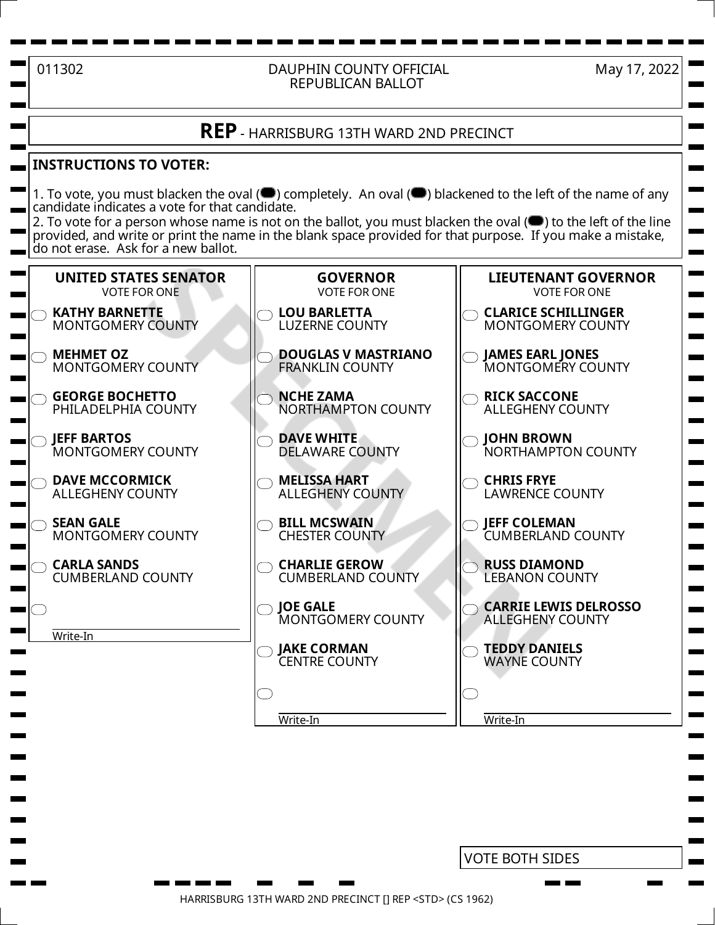## 011302 DAUPHIN COUNTY OFFICIAL REPUBLICAN BALLOT

May 17, 2022

## **REP**- HARRISBURG 13TH WARD 2ND PRECINCT

## **INSTRUCTIONS TO VOTER:**

1. To vote, you must blacken the oval ( $\bullet$ ) completely. An oval ( $\bullet$ ) blackened to the left of the name of anv candidate indicates a vote for that candidate.

2. To vote for a person whose name is not on the ballot, you must blacken the oval  $($ **)** to the left of the line provided, and write or print the name in the blank space provided for that purpose. If you make a mistake, do not erase. Ask for a new ballot.



VOTE BOTH SIDES